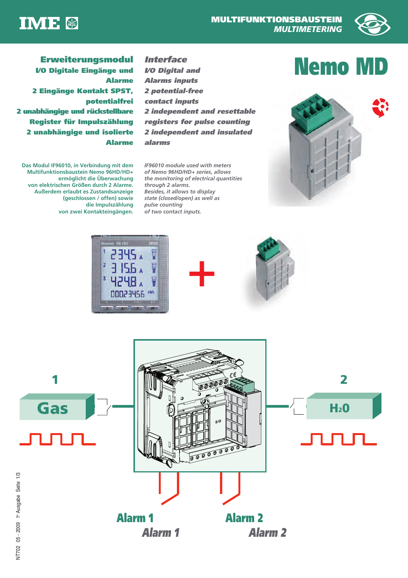



# **Erweiterungsmodul** *Interface*<br>The Digitale Eingänge und *VO Digital and*



**I/O Digitale Eingänge und Alarme 2 Eingänge Kontakt SPST, potentialfrei 2 unabhängige und rückstellbare Register für Impulszählung 2 unabhängige und isolierte Alarme** 

**Das Modul IF96010, in Verbindung mit dem Multifunktionsbaustein Nemo 96HD/HD+ ermöglicht die Überwachung von elektrischen Größen durch 2 Alarme. Außerdem erlaubt es Zustandsanzeige (geschlossen / offen) sowie die Impulszählung von zwei Kontakteingängen.**

**I/O Digital and Alarms inputs 2 potential-free contact inputs 2 independent and resettable registers for pulse counting 2 independent and insulated alarms**

**Interface**

*IF96010 module used with meters of Nemo 96HD/HD+ series, allows the monitoring of electrical quantities through 2 alarms. Besides, it allows to display state (closed/open) as well as pulse counting of two contact inputs.*



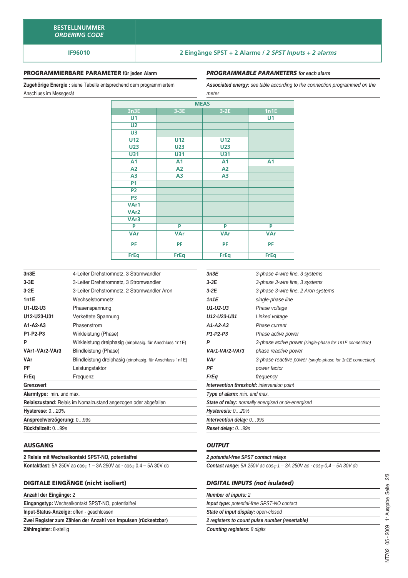## **IF96010 2 Eingänge SPST + 2 Alarme /** *2 SPST Inputs + 2 alarms*

#### **PROGRAMMIERBARE PARAMETER für jeden Alarm**

**Zugehörige Energie :** siehe Tabelle entsprechend dem programmiertem Anschluss im Messgerät

#### *PROGRAMMABLE PARAMETERS for each alarm*

*Associated energy: see table according to the connection programmed on the meter*

| <b>MEAS</b>      |                |                |                |  |
|------------------|----------------|----------------|----------------|--|
| 3n3E             | $3-3E$         | $3-2E$         | 1n1E           |  |
| U <sub>1</sub>   |                |                | U <sub>1</sub> |  |
| U <sub>2</sub>   |                |                |                |  |
| U3               |                |                |                |  |
| <b>U12</b>       | U12            | U12            |                |  |
| <b>U23</b>       | <b>U23</b>     | <b>U23</b>     |                |  |
| <b>U31</b>       | <b>U31</b>     | <b>U31</b>     |                |  |
| A1               | A <sub>1</sub> | A <sub>1</sub> | A <sub>1</sub> |  |
| A <sub>2</sub>   | A2             | A2             |                |  |
| A <sub>3</sub>   | A <sub>3</sub> | A <sub>3</sub> |                |  |
| <b>P1</b>        |                |                |                |  |
| P <sub>2</sub>   |                |                |                |  |
| P <sub>3</sub>   |                |                |                |  |
| VAr1             |                |                |                |  |
| VAr <sub>2</sub> |                |                |                |  |
| VAr3             |                |                |                |  |
| P                | P              | P              | P              |  |
| <b>VAr</b>       | <b>VAr</b>     | <b>VAr</b>     | <b>VAr</b>     |  |
| PF               | PF             | <b>PF</b>      | PF             |  |
| <b>FrEq</b>      | <b>FrEq</b>    | <b>FrEq</b>    | <b>FrEq</b>    |  |

| 3n3E                      | 4-Leiter Drehstromnetz, 3 Stromwandler                          | 3n3E             |
|---------------------------|-----------------------------------------------------------------|------------------|
| $3-3E$                    | 3-Leiter Drehstromnetz, 3 Stromwandler                          | $3-3E$           |
| $3-2E$                    | 3-Leiter Drehstromnetz, 2 Stromwandler Aron                     | $3-2E$           |
| 1n1E                      | Wechselstromnetz                                                | 1n1E             |
| U1-U2-U3                  | Phasenspannung                                                  | U1-U2-U          |
| U12-U23-U31               | Verkettete Spannung                                             | U12-U23          |
| $A1-A2-A3$                | Phasenstrom                                                     | $A1-A2-A$        |
| P1-P2-P3                  | Wirkleistung (Phase)                                            | $P1-P2-P3$       |
| P                         | Wirkleistung dreiphasig (einphasig. für Anschluss 1n1E)         | P                |
| VAr1-VAr2-VAr3            | Blindleistung (Phase)                                           | VAr1-VA          |
| VAr                       | Blindleistung dreiphasig (einphasig. für Anschluss 1n1E)        | VAr              |
| PF                        | Leistungsfaktor                                                 | ΡF               |
| FrEq                      | Frequenz                                                        | FrEa             |
| Grenzwert                 |                                                                 | <b>Intervent</b> |
| Alarmtype: min. und max.  |                                                                 | Type of a        |
|                           | Relaiszustand: Relais im Nomalzustand angezogen oder abgefallen | State of r       |
| Hysterese: 020%           |                                                                 | <b>Hysteres</b>  |
| Ansprechverzögerung: 099s |                                                                 | <b>Intervent</b> |
| Rückfallzeit: 099s        |                                                                 | Reset de         |
|                           |                                                                 |                  |

#### **AUSGANG**

| 2 Relais mit Wechselkontakt SPST-NO, potentialfrei                                          |  |  |  |
|---------------------------------------------------------------------------------------------|--|--|--|
| <b>Kontaktlast:</b> 5A 250V ac $\cos\varphi$ 1 – 3A 250V ac - $\cos\varphi$ 0,4 – 5A 30V dc |  |  |  |

#### **DIGITALE EINGÄNGE (nicht isoliert)**

|  | Anzahl der Eingänge: 2 |  |
|--|------------------------|--|
|  |                        |  |

**Eingangstyp:** Wechselkontakt SPST-NO, potentialfrei

**Input-Status-Anzeige:** offen - geschlossen

**Zwei Register zum Zählen der Anzahl von Impulsen (rücksetzbar) Zählregister:** 8-stellig

| 3n3E                                              | 3-phase 4-wire line, 3 systems                            |  |  |  |
|---------------------------------------------------|-----------------------------------------------------------|--|--|--|
| $3-3E$                                            | 3-phase 3-wire line, 3 systems                            |  |  |  |
| $3-2E$                                            | 3-phase 3-wire line, 2 Aron systems                       |  |  |  |
| 1n1E                                              | single-phase line                                         |  |  |  |
| U1-U2-U3                                          | Phase voltage                                             |  |  |  |
| U12-U23-U31                                       | Linked voltage                                            |  |  |  |
| $A1-A2-A3$                                        | Phase current                                             |  |  |  |
| $P1-P2-P3$                                        | Phase active power                                        |  |  |  |
| P                                                 | 3-phase active power (single-phase for 1n1E connection)   |  |  |  |
| VAr1-VAr2-VAr3                                    | phase reactive power                                      |  |  |  |
| VAr                                               | 3-phase reactive power (single-phase for 1n1E connection) |  |  |  |
| ΡF                                                | power factor                                              |  |  |  |
| FrEa                                              | frequency                                                 |  |  |  |
| <b>Intervention threshold:</b> intervention point |                                                           |  |  |  |
| Type of alarm: min. and max.                      |                                                           |  |  |  |
|                                                   | State of relay: normally energised or de-energised        |  |  |  |
| Hysteresis: 020%                                  |                                                           |  |  |  |
| <b>Intervention delay: 099s</b>                   |                                                           |  |  |  |
| Reset delay: 099s                                 |                                                           |  |  |  |

### *OUTPUT*

| 2 potential-free SPST contact relays                                                        |
|---------------------------------------------------------------------------------------------|
| <b>Contact range:</b> 5A 250V ac $cos\varphi$ 1 - 3A 250V ac - $cos\varphi$ 0,4 - 5A 30V dc |
|                                                                                             |
| <b>DIGITAL INPUTS (not isulated)</b>                                                        |
| <b>Number of inputs: 2</b>                                                                  |
| <b>Input type:</b> potential-free SPST-NO contact                                           |
| State of input display: open-closed                                                         |
| 2 registers to count pulse number (resettable)                                              |
| <b>Counting registers: 8 digits</b>                                                         |
|                                                                                             |